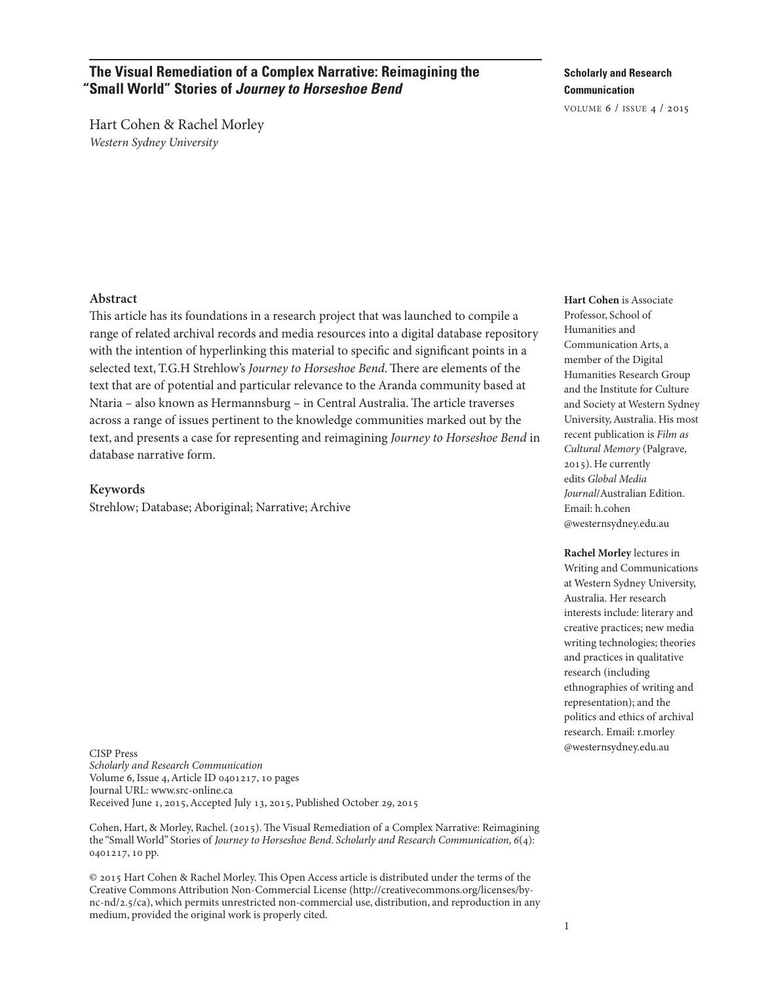# **The Visual Remediation of a Complex Narrative: Reimagining the "Small World" Stories of** *Journey to Horseshoe Bend*

Hart Cohen & Rachel Morley Western Sydney University

**Scholarly and Research Communication**

volume 6 / issue 4 / 2015

#### **Abstract**

This article has its foundations in a research project that was launched to compile a range of related archival records and media resources into a digital database repository with the intention of hyperlinking this material to specific and significant points in a selected text, T.G.H Strehlow's Journey to Horseshoe Bend. There are elements of the text that are of potential and particular relevance to the Aranda community based at Ntaria – also known as Hermannsburg – in Central Australia. The article traverses across a range of issues pertinent to the knowledge communities marked out by the text, and presents a case for representing and reimagining Journey to Horseshoe Bend in database narrative form.

#### **Keywords**

Strehlow; Database; Aboriginal; Narrative; Archive

CISP Press Scholarly and Research Communication Volume 6, Issue 4,Article ID 0401217, 10 pages Journal URL: [www.src-online.ca](http://www.src-online.ca) Received June 1, 2015, Accepted July 13, 2015, Published October 29, 2015

Cohen, Hart, & Morley, Rachel. (2015). The Visual Remediation of a Complex Narrative: Reimagining the "Small World" Stories of Journey to Horseshoe Bend. Scholarly and Research Communication, 6(4): 0401217, 10 pp.

 $© 2015$  Hart Cohen & Rachel Morley. This Open Access article is distributed under the terms of the Creative Commons Attribution Non-Commercial License [\(http://creativecommons.org/licenses/by](http://creativecommons.org/licenses/by-nc-nd/2.5/ca)[nc-nd/2.5/ca\)](http://creativecommons.org/licenses/by-nc-nd/2.5/ca), which permits unrestricted non-commercial use, distribution, and reproduction in any medium, provided the original work is properly cited.

**Hart Cohen** is Associate Professor, School of Humanities and Communication Arts, a member of the Digital Humanities Research Group and the Institute for Culture and Society at Western Sydney University,Australia. His most recent publication is Film as Cultural Memory (Palgrave, 2015). He currently edits Global Media Journal/Australian Edition. Email: [h.cohen](mailto:h.cohen@westernsydney.edu.au) [@westernsydney.edu.au](mailto:h.cohen@westernsydney.edu.au)

**Rachel Morley** lectures in Writing and Communications at Western Sydney University, Australia. Her research interests include: literary and creative practices; new media writing technologies; theories and practices in qualitative research (including ethnographies of writing and representation); and the politics and ethics of archival research. Email: [r.morley](mailto:r.morley@westernsydney.edu.au) [@westernsydney.edu.au](mailto:r.morley@westernsydney.edu.au)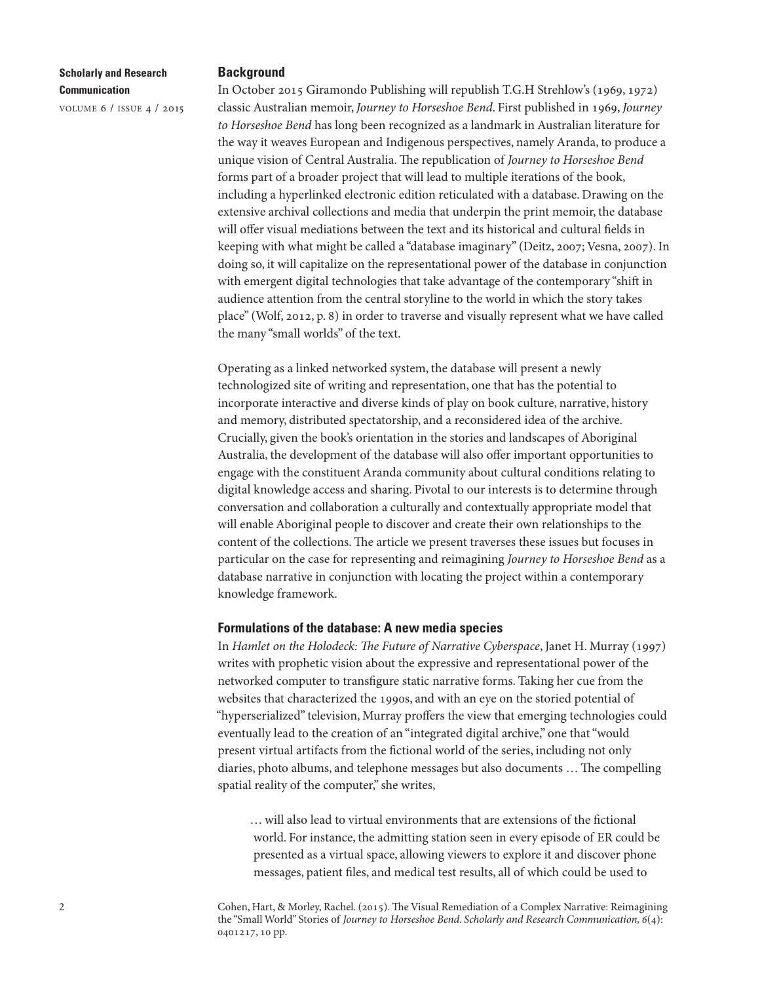volume 6 / issue 4 / 2015

#### **Background**

In October 2015 Giramondo Publishing will republish T.G.H Strehlow's (1969, 1972) classic Australian memoir, Journey to Horseshoe Bend. First published in 1969, Journey to Horseshoe Bend has long been recognized as a landmark in Australian literature for the way it weaves European and Indigenous perspectives, namely Aranda, to produce a unique vision of Central Australia. The republication of Journey to Horseshoe Bend forms part of a broader project that will lead to multiple iterations of the book, including a hyperlinked electronic edition reticulated with a database. Drawing on the extensive archival collections and media that underpin the print memoir, the database will offer visual mediations between the text and its historical and cultural fields in keeping with what might be called a "database imaginary" (Deitz, 2007; Vesna, 2007). In doing so, it will capitalize on the representational power of the database in conjunction with emergent digital technologies that take advantage of the contemporary "shift in audience attention from the central storyline to the world in which the story takes place" (Wolf, 2012, p. 8) in order to traverse and visually represent what we have called the many "small worlds" of the text.

Operating as a linked networked system, the database will present a newly technologized site of writing and representation, one that has the potential to incorporate interactive and diverse kinds of play on book culture, narrative, history and memory, distributed spectatorship, and a reconsidered idea of the archive. Crucially, given the book's orientation in the stories and landscapes of Aboriginal Australia, the development of the database will also offer important opportunities to engage with the constituent Aranda community about cultural conditions relating to digital knowledge access and sharing. Pivotal to our interests is to determine through conversation and collaboration a culturally and contextually appropriate model that will enable Aboriginal people to discover and create their own relationships to the content of the collections. The article we present traverses these issues but focuses in particular on the case for representing and reimagining Journey to Horseshoe Bend as a database narrative in conjunction with locating the project within a contemporary knowledge framework.

# **Formulations of the database: A new media species**

In Hamlet on the Holodeck: The Future of Narrative Cyberspace, Janet H. Murray (1997) writes with prophetic vision about the expressive and representational power of the networked computer to transfigure static narrative forms. Taking her cue from the websites that characterized the 1990s, and with an eye on the storied potential of "hyperserialized" television, Murray proffers the view that emerging technologies could eventually lead to the creation of an "integrated digital archive," one that "would present virtual artifacts from the fictional world of the series, including not only diaries, photo albums, and telephone messages but also documents ... The compelling spatial reality of the computer," she writes,

… will also lead to virtual environments that are extensions of the fictional world. For instance, the admitting station seen in every episode of ER could be presented as a virtual space, allowing viewers to explore it and discover phone messages, patient files, and medical test results, all of which could be used to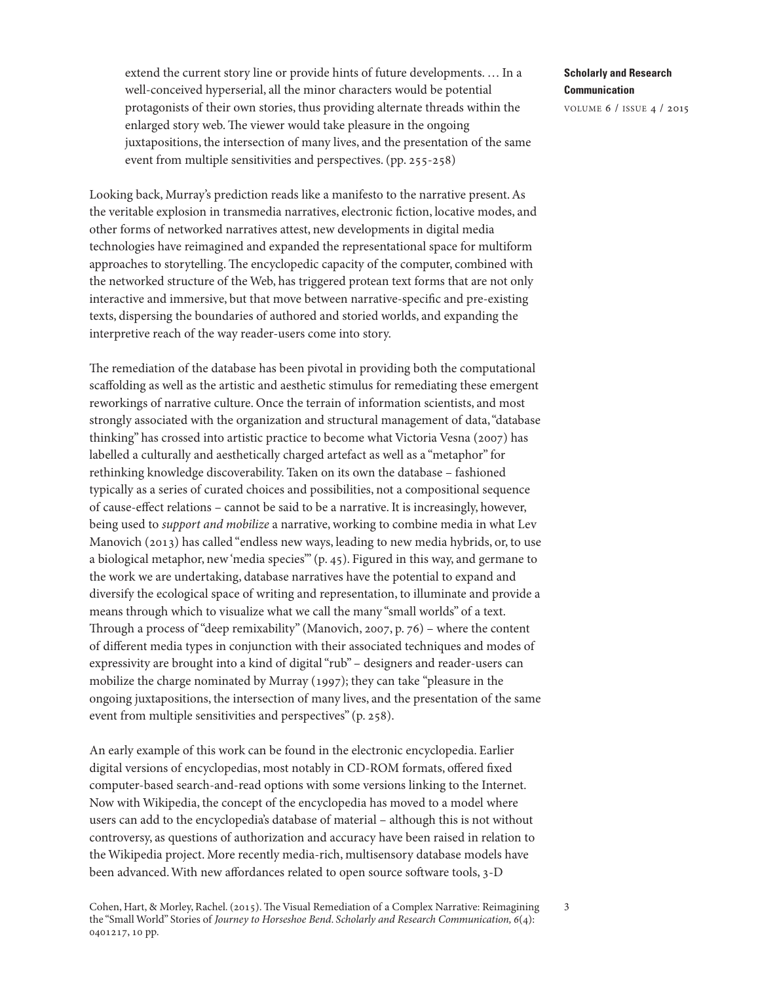extend the current story line or provide hints of future developments. … In a well-conceived hyperserial, all the minor characters would be potential protagonists of their own stories, thus providing alternate threads within the enlarged story web. The viewer would take pleasure in the ongoing juxtapositions, the intersection of many lives, and the presentation of the same event from multiple sensitivities and perspectives. (pp. 255-258)

Looking back, Murray's prediction reads like a manifesto to the narrative present.As the veritable explosion in transmedia narratives, electronic fiction, locative modes, and other forms of networked narratives attest, new developments in digital media technologies have reimagined and expanded the representational space for multiform approaches to storytelling. The encyclopedic capacity of the computer, combined with the networked structure of the Web, has triggered protean text forms that are not only interactive and immersive, but that move between narrative-specific and pre-existing texts, dispersing the boundaries of authored and storied worlds, and expanding the interpretive reach of the way reader-users come into story.

The remediation of the database has been pivotal in providing both the computational scaffolding as well as the artistic and aesthetic stimulus for remediating these emergent reworkings of narrative culture. Once the terrain of information scientists, and most strongly associated with the organization and structural management of data,"database thinking" has crossed into artistic practice to become what Victoria Vesna (2007) has labelled a culturally and aesthetically charged artefact as well as a "metaphor" for rethinking knowledge discoverability. Taken on its own the database – fashioned typically as a series of curated choices and possibilities, not a compositional sequence of cause-effect relations – cannot be said to be a narrative. It is increasingly, however, being used to support and mobilize a narrative, working to combine media in what Lev Manovich (2013) has called "endless new ways, leading to new media hybrids, or, to use a biological metaphor, new'media species'" (p. 45). Figured in this way, and germane to the work we are undertaking, database narratives have the potential to expand and diversify the ecological space of writing and representation, to illuminate and provide a means through which to visualize what we call the many "small worlds" of a text. Through a process of "deep remixability" (Manovich, 2007, p. 76) - where the content of different media types in conjunction with their associated techniques and modes of expressivity are brought into a kind of digital"rub" – designers and reader-users can mobilize the charge nominated by Murray (1997); they can take "pleasure in the ongoing juxtapositions, the intersection of many lives, and the presentation of the same event from multiple sensitivities and perspectives" (p. 258).

An early example of this work can be found in the electronic encyclopedia. Earlier digital versions of encyclopedias, most notably in CD-ROM formats, offered fixed computer-based search-and-read options with some versions linking to the Internet. Now with Wikipedia, the concept of the encyclopedia has moved to a model where users can add to the encyclopedia's database of material – although this is not without controversy, as questions of authorization and accuracy have been raised in relation to the Wikipedia project. More recently media-rich, multisensory database models have been advanced. With new affordances related to open source software tools, 3-D

# **Scholarly and Research Communication**

volume 6 / issue 4 / 2015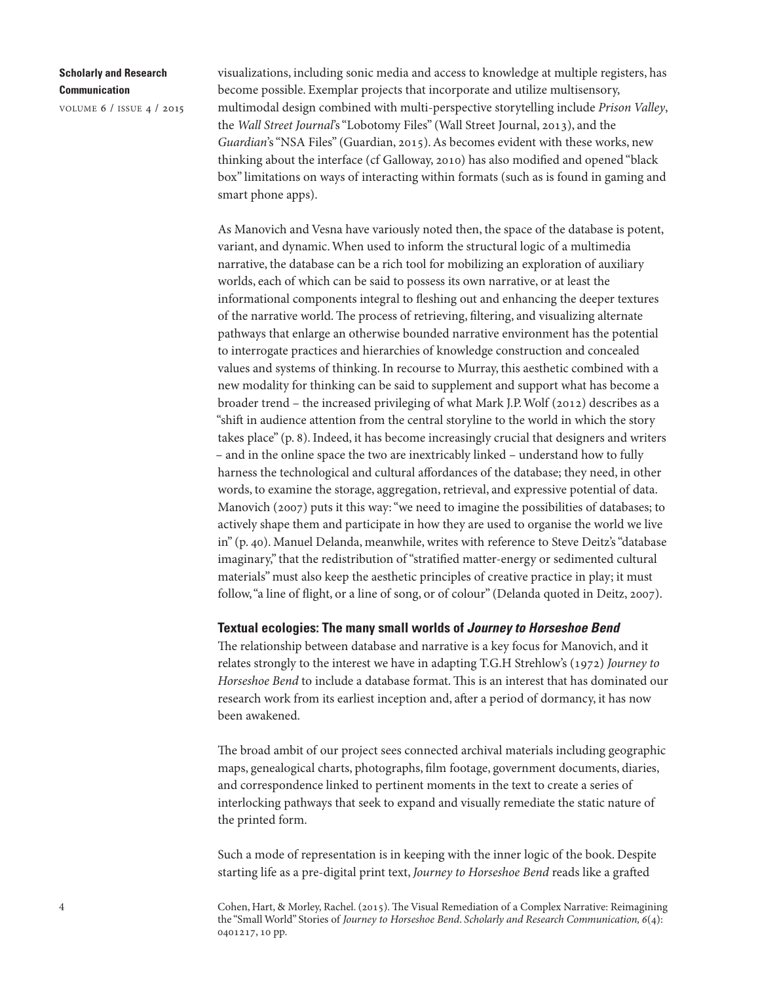volume 6 / issue 4 / 2015

visualizations, including sonic media and access to knowledge at multiple registers, has become possible. Exemplar projects that incorporate and utilize multisensory, multimodal design combined with multi-perspective storytelling include Prison Valley, the Wall Street Journal's "Lobotomy Files" (Wall Street Journal, 2013), and the Guardian's "NSA Files" (Guardian, 2015). As becomes evident with these works, new thinking about the interface (cf Galloway, 2010) has also modified and opened "black box" limitations on ways of interacting within formats (such as is found in gaming and smart phone apps).

As Manovich and Vesna have variously noted then, the space of the database is potent, variant, and dynamic.When used to inform the structural logic of a multimedia narrative, the database can be a rich tool for mobilizing an exploration of auxiliary worlds, each of which can be said to possess its own narrative, or at least the informational components integral to fleshing out and enhancing the deeper textures of the narrative world. The process of retrieving, filtering, and visualizing alternate pathways that enlarge an otherwise bounded narrative environment has the potential to interrogate practices and hierarchies of knowledge construction and concealed values and systems of thinking. In recourse to Murray, this aesthetic combined with a new modality for thinking can be said to supplement and support what has become a broader trend – the increased privileging of what Mark J.P.Wolf (2012) describes as a "shift in audience attention from the central storyline to the world in which the story takes place" (p. 8). Indeed, it has become increasingly crucial that designers and writers – and in the online space the two are inextricably linked – understand how to fully harness the technological and cultural affordances of the database; they need, in other words, to examine the storage, aggregation, retrieval, and expressive potential of data. Manovich (2007) puts it this way:"we need to imagine the possibilities of databases; to actively shape them and participate in how they are used to organise the world we live in" (p. 40). Manuel Delanda, meanwhile, writes with reference to Steve Deitz's"database imaginary," that the redistribution of"stratified matter-energy or sedimented cultural materials" must also keep the aesthetic principles of creative practice in play; it must follow, "a line of flight, or a line of song, or of colour" (Delanda quoted in Deitz, 2007).

#### **Textual ecologies: The many small worlds of** *Journey to Horseshoe Bend*

The relationship between database and narrative is a key focus for Manovich, and it relates strongly to the interest we have in adapting T.G.H Strehlow's (1972) Journey to Horseshoe Bend to include a database format. This is an interest that has dominated our research work from its earliest inception and, after a period of dormancy, it has now been awakened.

The broad ambit of our project sees connected archival materials including geographic maps, genealogical charts, photographs, film footage, government documents, diaries, and correspondence linked to pertinent moments in the text to create a series of interlocking pathways that seek to expand and visually remediate the static nature of the printed form.

Such a mode of representation is in keeping with the inner logic of the book. Despite starting life as a pre-digital print text, Journey to Horseshoe Bend reads like a grafted

Cohen, Hart, & Morley, Rachel. (2015). The Visual Remediation of a Complex Narrative: Reimagining the "Small World" Stories of Journey to Horseshoe Bend. Scholarly and Research Communication, 6(4): 0401217, 10 pp.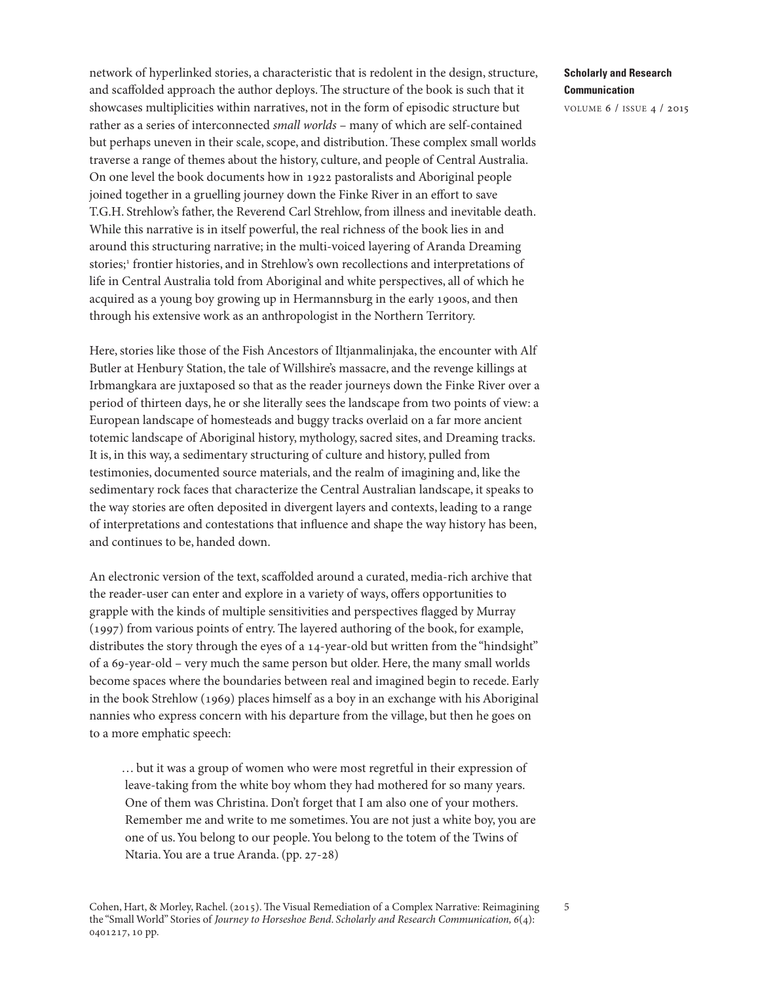network of hyperlinked stories, a characteristic that is redolent in the design, structure, and scaffolded approach the author deploys. The structure of the book is such that it showcases multiplicities within narratives, not in the form of episodic structure but rather as a series of interconnected small worlds – many of which are self-contained but perhaps uneven in their scale, scope, and distribution. These complex small worlds traverse a range of themes about the history, culture, and people of Central Australia. On one level the book documents how in 1922 pastoralists and Aboriginal people joined together in a gruelling journey down the Finke River in an effort to save T.G.H. Strehlow's father, the Reverend Carl Strehlow, from illness and inevitable death. While this narrative is in itself powerful, the real richness of the book lies in and around this structuring narrative; in the multi-voiced layering of Aranda Dreaming stories; [1](#page-8-0) frontier histories, and in Strehlow's own recollections and interpretations of life in Central Australia told from Aboriginal and white perspectives, all of which he acquired as a young boy growing up in Hermannsburg in the early 1900s, and then through his extensive work as an anthropologist in the Northern Territory.

Here, stories like those of the Fish Ancestors of Iltjanmalinjaka, the encounter with Alf Butler at Henbury Station, the tale of Willshire's massacre, and the revenge killings at Irbmangkara are juxtaposed so that as the reader journeys down the Finke River over a period of thirteen days, he or she literally sees the landscape from two points of view: a European landscape of homesteads and buggy tracks overlaid on a far more ancient totemic landscape of Aboriginal history, mythology, sacred sites, and Dreaming tracks. It is, in this way, a sedimentary structuring of culture and history, pulled from testimonies, documented source materials, and the realm of imagining and, like the sedimentary rock faces that characterize the Central Australian landscape, it speaks to the way stories are often deposited in divergent layers and contexts, leading to a range of interpretations and contestations that influence and shape the way history has been, and continues to be, handed down.

An electronic version of the text, scaffolded around a curated, media-rich archive that the reader-user can enter and explore in a variety of ways, offers opportunities to grapple with the kinds of multiple sensitivities and perspectives flagged by Murray  $(1997)$  from various points of entry. The layered authoring of the book, for example, distributes the story through the eyes of a 14-year-old but written from the "hindsight" of a 69-year-old – very much the same person but older. Here, the many small worlds become spaces where the boundaries between real and imagined begin to recede. Early in the book Strehlow (1969) places himself as a boy in an exchange with his Aboriginal nannies who express concern with his departure from the village, but then he goes on to a more emphatic speech:

… but it was a group of women who were most regretful in their expression of leave-taking from the white boy whom they had mothered for so many years. One of them was Christina. Don't forget that I am also one of your mothers. Remember me and write to me sometimes.You are not just a white boy, you are one of us.You belong to our people.You belong to the totem of the Twins of Ntaria.You are a true Aranda. (pp. 27-28)

# **Scholarly and Research Communication**

5

volume 6 / issue 4 / 2015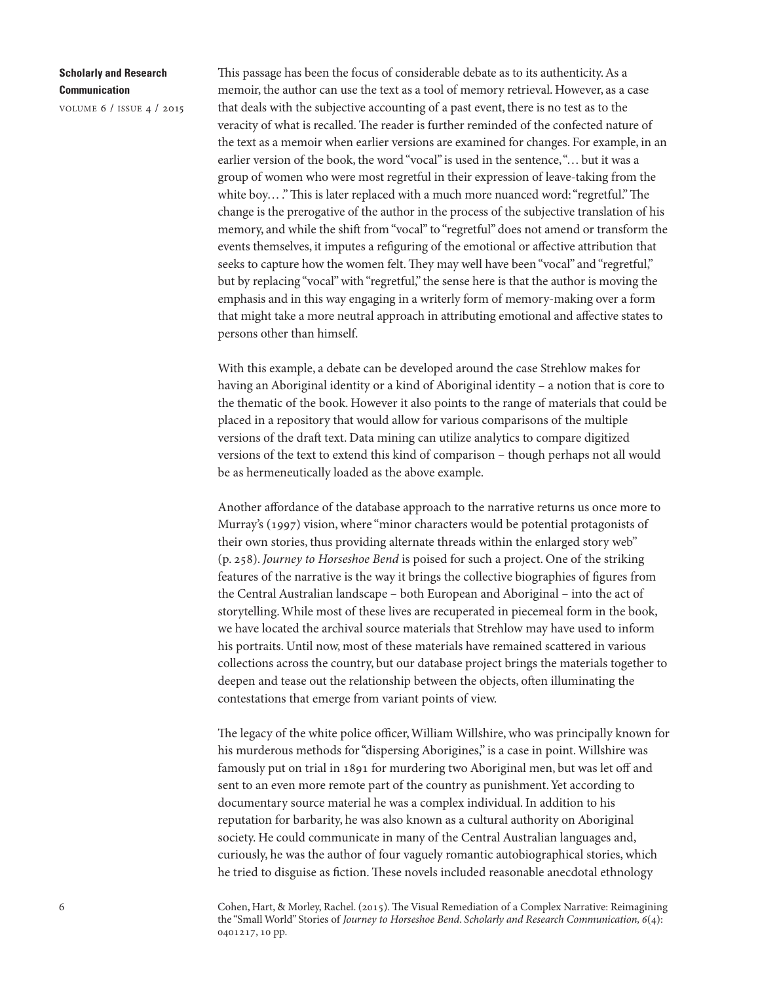volume 6 / issue 4 / 2015

This passage has been the focus of considerable debate as to its authenticity. As a memoir, the author can use the text as a tool of memory retrieval. However, as a case that deals with the subjective accounting of a past event, there is no test as to the veracity of what is recalled. The reader is further reminded of the confected nature of the text as a memoir when earlier versions are examined for changes. For example, in an earlier version of the book, the word "vocal" is used in the sentence,"… but it was a group of women who were most regretful in their expression of leave-taking from the white boy...." This is later replaced with a much more nuanced word: "regretful." The change is the prerogative of the author in the process of the subjective translation of his memory, and while the shift from "vocal" to "regretful" does not amend or transform the events themselves, it imputes a refiguring of the emotional or affective attribution that seeks to capture how the women felt. They may well have been "vocal" and "regretful," but by replacing "vocal" with "regretful," the sense here is that the author is moving the emphasis and in this way engaging in a writerly form of memory-making over a form that might take a more neutral approach in attributing emotional and affective states to persons other than himself.

With this example, a debate can be developed around the case Strehlow makes for having an Aboriginal identity or a kind of Aboriginal identity – a notion that is core to the thematic of the book. However it also points to the range of materials that could be placed in a repository that would allow for various comparisons of the multiple versions of the draft text. Data mining can utilize analytics to compare digitized versions of the text to extend this kind of comparison – though perhaps not all would be as hermeneutically loaded as the above example.

Another affordance of the database approach to the narrative returns us once more to Murray's (1997) vision, where "minor characters would be potential protagonists of their own stories, thus providing alternate threads within the enlarged story web" (p. 258). Journey to Horseshoe Bend is poised for such a project. One of the striking features of the narrative is the way it brings the collective biographies of figures from the Central Australian landscape – both European and Aboriginal – into the act of storytelling.While most of these lives are recuperated in piecemeal form in the book, we have located the archival source materials that Strehlow may have used to inform his portraits. Until now, most of these materials have remained scattered in various collections across the country, but our database project brings the materials together to deepen and tease out the relationship between the objects, often illuminating the contestations that emerge from variant points of view.

The legacy of the white police officer, William Willshire, who was principally known for his murderous methods for "dispersing Aborigines," is a case in point. Willshire was famously put on trial in 1891 for murdering two Aboriginal men, but was let off and sent to an even more remote part of the country as punishment. Yet according to documentary source material he was a complex individual. In addition to his reputation for barbarity, he was also known as a cultural authority on Aboriginal society. He could communicate in many of the Central Australian languages and, curiously, he was the author of four vaguely romantic autobiographical stories, which he tried to disguise as fiction. These novels included reasonable anecdotal ethnology

Cohen, Hart, & Morley, Rachel. (2015). The Visual Remediation of a Complex Narrative: Reimagining the "Small World" Stories of Journey to Horseshoe Bend. Scholarly and Research Communication, 6(4): 0401217, 10 pp.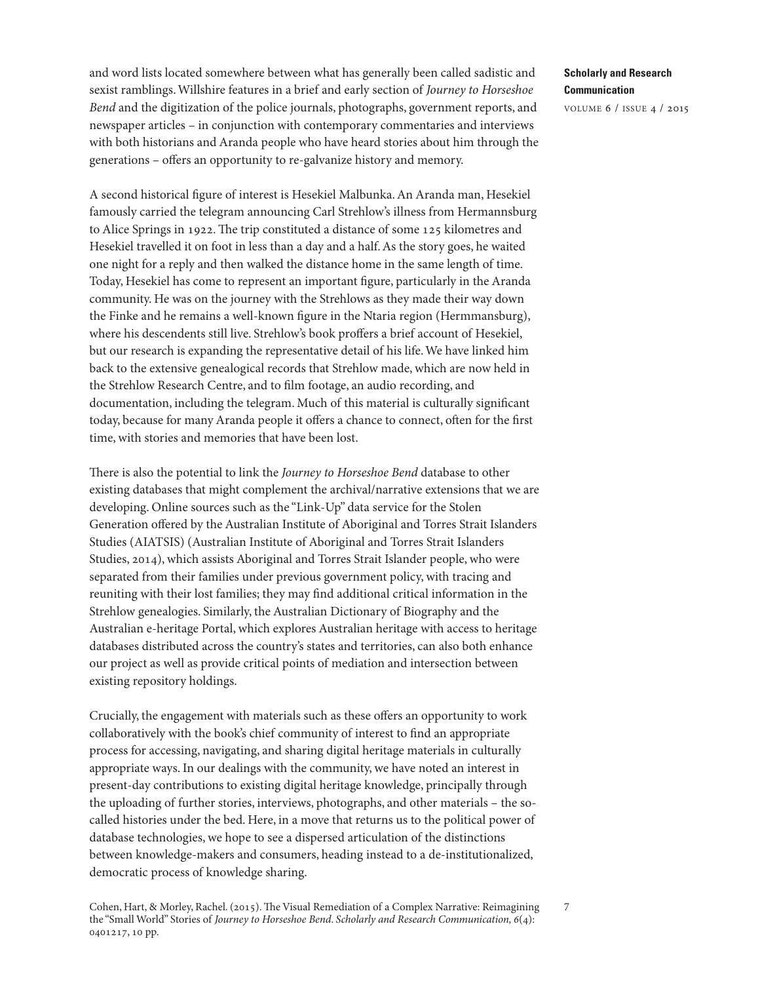and word lists located somewhere between what has generally been called sadistic and sexist ramblings.Willshire features in a brief and early section of Journey to Horseshoe Bend and the digitization of the police journals, photographs, government reports, and newspaper articles – in conjunction with contemporary commentaries and interviews with both historians and Aranda people who have heard stories about him through the generations – offers an opportunity to re-galvanize history and memory.

A second historical figure of interest is Hesekiel Malbunka.An Aranda man, Hesekiel famously carried the telegram announcing Carl Strehlow's illness from Hermannsburg to Alice Springs in 1922. The trip constituted a distance of some  $125$  kilometres and Hesekiel travelled it on foot in less than a day and a half.As the story goes, he waited one night for a reply and then walked the distance home in the same length of time. Today, Hesekiel has come to represent an important figure, particularly in the Aranda community. He was on the journey with the Strehlows as they made their way down the Finke and he remains a well-known figure in the Ntaria region (Hermmansburg), where his descendents still live. Strehlow's book proffers a brief account of Hesekiel, but our research is expanding the representative detail of his life.We have linked him back to the extensive genealogical records that Strehlow made, which are now held in the Strehlow Research Centre, and to film footage, an audio recording, and documentation, including the telegram. Much of this material is culturally significant today, because for many Aranda people it offers a chance to connect, often for the first time, with stories and memories that have been lost.

There is also the potential to link the Journey to Horseshoe Bend database to other existing databases that might complement the archival/narrative extensions that we are developing. Online sources such as the "Link-Up" data service for the Stolen Generation offered by the Australian Institute of Aboriginal and Torres Strait Islanders Studies (AIATSIS) (Australian Institute of Aboriginal and Torres Strait Islanders Studies, 2014), which assists Aboriginal and Torres Strait Islander people, who were separated from their families under previous government policy, with tracing and reuniting with their lost families; they may find additional critical information in the Strehlow genealogies. Similarly, the Australian Dictionary of Biography and the Australian e-heritage Portal, which explores Australian heritage with access to heritage databases distributed across the country's states and territories, can also both enhance our project as well as provide critical points of mediation and intersection between existing repository holdings.

Crucially, the engagement with materials such as these offers an opportunity to work collaboratively with the book's chief community of interest to find an appropriate process for accessing, navigating, and sharing digital heritage materials in culturally appropriate ways. In our dealings with the community, we have noted an interest in present-day contributions to existing digital heritage knowledge, principally through the uploading of further stories, interviews, photographs, and other materials – the socalled histories under the bed. Here, in a move that returns us to the political power of database technologies, we hope to see a dispersed articulation of the distinctions between knowledge-makers and consumers, heading instead to a de-institutionalized, democratic process of knowledge sharing.

## **Scholarly and Research Communication**

volume 6 / issue 4 / 2015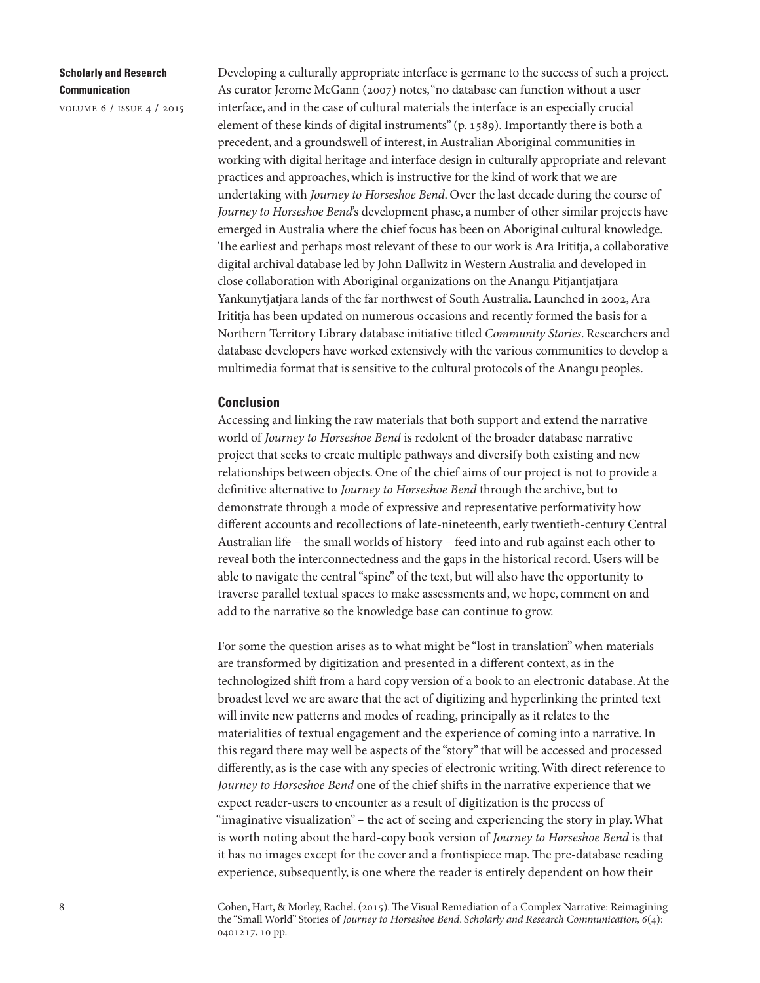volume 6 / issue 4 / 2015

Developing a culturally appropriate interface is germane to the success of such a project. As curator Jerome McGann (2007) notes,"no database can function without a user interface, and in the case of cultural materials the interface is an especially crucial element of these kinds of digital instruments" (p. 1589). Importantly there is both a precedent, and a groundswell of interest, in Australian Aboriginal communities in working with digital heritage and interface design in culturally appropriate and relevant practices and approaches, which is instructive for the kind of work that we are undertaking with Journey to Horseshoe Bend. Over the last decade during the course of Journey to Horseshoe Bend's development phase, a number of other similar projects have emerged in Australia where the chief focus has been on Aboriginal cultural knowledge. The earliest and perhaps most relevant of these to our work is Ara Irititja, a collaborative digital archival database led by John Dallwitz in Western Australia and developed in close collaboration with Aboriginal organizations on the Anangu Pitjantjatjara Yankunytjatjara lands of the far northwest of South Australia. Launched in 2002, Ara Irititja has been updated on numerous occasions and recently formed the basis for a Northern Territory Library database initiative titled Community Stories. Researchers and database developers have worked extensively with the various communities to develop a multimedia format that is sensitive to the cultural protocols of the Anangu peoples.

#### **Conclusion**

Accessing and linking the raw materials that both support and extend the narrative world of Journey to Horseshoe Bend is redolent of the broader database narrative project that seeks to create multiple pathways and diversify both existing and new relationships between objects. One of the chief aims of our project is not to provide a definitive alternative to Journey to Horseshoe Bend through the archive, but to demonstrate through a mode of expressive and representative performativity how different accounts and recollections of late-nineteenth, early twentieth-century Central Australian life – the small worlds of history – feed into and rub against each other to reveal both the interconnectedness and the gaps in the historical record. Users will be able to navigate the central"spine" of the text, but will also have the opportunity to traverse parallel textual spaces to make assessments and, we hope, comment on and add to the narrative so the knowledge base can continue to grow.

For some the question arises as to what might be "lost in translation" when materials are transformed by digitization and presented in a different context, as in the technologized shift from a hard copy version of a book to an electronic database. At the broadest level we are aware that the act of digitizing and hyperlinking the printed text will invite new patterns and modes of reading, principally as it relates to the materialities of textual engagement and the experience of coming into a narrative. In this regard there may well be aspects of the "story" that will be accessed and processed differently, as is the case with any species of electronic writing.With direct reference to Journey to Horseshoe Bend one of the chief shifts in the narrative experience that we expect reader-users to encounter as a result of digitization is the process of "imaginative visualization" – the act of seeing and experiencing the story in play.What is worth noting about the hard-copy book version of Journey to Horseshoe Bend is that it has no images except for the cover and a frontispiece map. The pre-database reading experience, subsequently, is one where the reader is entirely dependent on how their

Cohen, Hart, & Morley, Rachel. (2015). The Visual Remediation of a Complex Narrative: Reimagining the "Small World" Stories of Journey to Horseshoe Bend. Scholarly and Research Communication, 6(4): 0401217, 10 pp.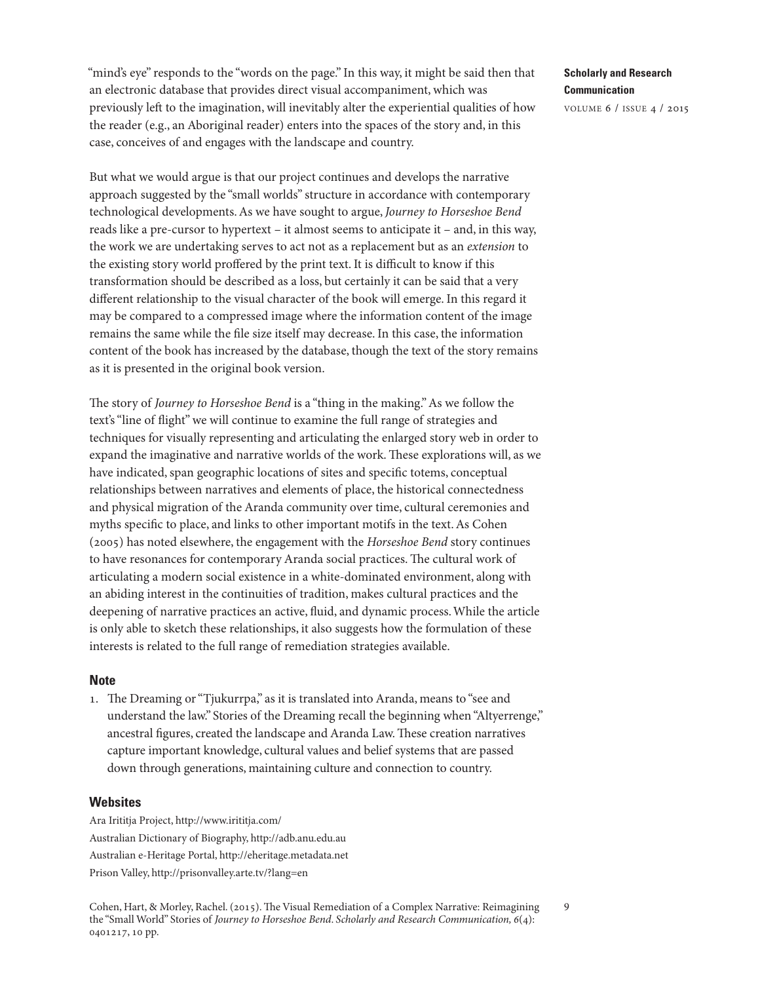"mind's eye" responds to the "words on the page." In this way, it might be said then that an electronic database that provides direct visual accompaniment, which was previously left to the imagination, will inevitably alter the experiential qualities of how the reader (e.g., an Aboriginal reader) enters into the spaces of the story and, in this case, conceives of and engages with the landscape and country.

But what we would argue is that our project continues and develops the narrative approach suggested by the "small worlds" structure in accordance with contemporary technological developments.As we have sought to argue, Journey to Horseshoe Bend reads like a pre-cursor to hypertext – it almost seems to anticipate it – and, in this way, the work we are undertaking serves to act not as a replacement but as an extension to the existing story world proffered by the print text. It is difficult to know if this transformation should be described as a loss, but certainly it can be said that a very different relationship to the visual character of the book will emerge. In this regard it may be compared to a compressed image where the information content of the image remains the same while the file size itself may decrease. In this case, the information content of the book has increased by the database, though the text of the story remains as it is presented in the original book version.

The story of Journey to Horseshoe Bend is a "thing in the making." As we follow the text's "line of flight" we will continue to examine the full range of strategies and techniques for visually representing and articulating the enlarged story web in order to expand the imaginative and narrative worlds of the work. These explorations will, as we have indicated, span geographic locations of sites and specific totems, conceptual relationships between narratives and elements of place, the historical connectedness and physical migration of the Aranda community over time, cultural ceremonies and myths specific to place, and links to other important motifs in the text.As Cohen (2005) has noted elsewhere, the engagement with the Horseshoe Bend story continues to have resonances for contemporary Aranda social practices. The cultural work of articulating a modern social existence in a white-dominated environment, along with an abiding interest in the continuities of tradition, makes cultural practices and the deepening of narrative practices an active, fluid, and dynamic process.While the article is only able to sketch these relationships, it also suggests how the formulation of these interests is related to the full range of remediation strategies available.

#### **Note**

1. The Dreaming or "Tjukurrpa," as it is translated into Aranda, means to "see and understand the law." Stories of the Dreaming recall the beginning when"Altyerrenge," ancestral figures, created the landscape and Aranda Law. These creation narratives capture important knowledge, cultural values and belief systems that are passed down through generations, maintaining culture and connection to country.

#### **Websites**

Ara Irititja Project, [http://www.irititja.com/](mailto:http://www.irititja.com/) Australian Dictionary of Biography, <http://adb.anu.edu.au> Australian e-Heritage Portal, <http://eheritage.metadata.net> Prison Valley, <http://prisonvalley.arte.tv/?lang=en>

Cohen, Hart, & Morley, Rachel. (2015). The Visual Remediation of a Complex Narrative: Reimagining the "Small World" Stories of Journey to Horseshoe Bend. Scholarly and Research Communication, 6(4): 0401217, 10 pp.

# **Scholarly and Research Communication**

volume 6 / issue 4 / 2015

<span id="page-8-0"></span>9